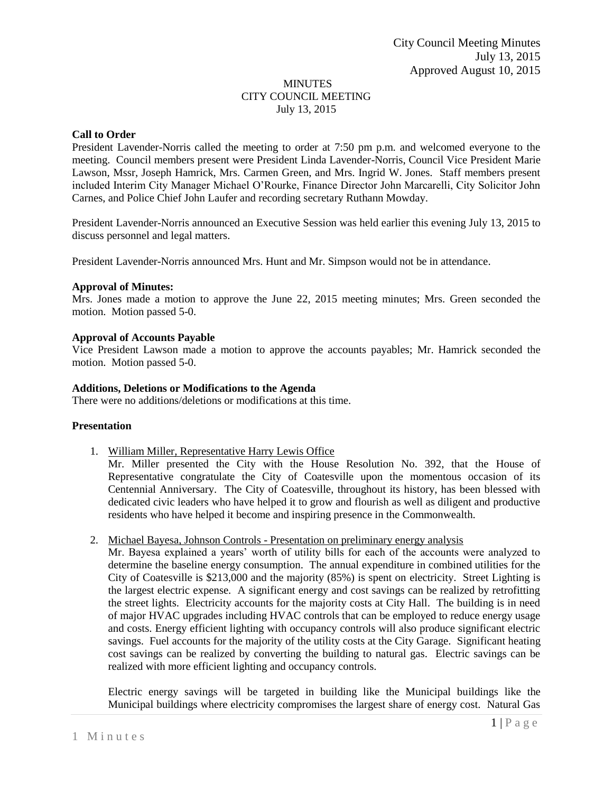#### MINUTES CITY COUNCIL MEETING July 13, 2015

## **Call to Order**

President Lavender-Norris called the meeting to order at 7:50 pm p.m. and welcomed everyone to the meeting. Council members present were President Linda Lavender-Norris, Council Vice President Marie Lawson, Mssr, Joseph Hamrick, Mrs. Carmen Green, and Mrs. Ingrid W. Jones. Staff members present included Interim City Manager Michael O'Rourke, Finance Director John Marcarelli, City Solicitor John Carnes, and Police Chief John Laufer and recording secretary Ruthann Mowday.

President Lavender-Norris announced an Executive Session was held earlier this evening July 13, 2015 to discuss personnel and legal matters.

President Lavender-Norris announced Mrs. Hunt and Mr. Simpson would not be in attendance.

### **Approval of Minutes:**

Mrs. Jones made a motion to approve the June 22, 2015 meeting minutes; Mrs. Green seconded the motion. Motion passed 5-0.

### **Approval of Accounts Payable**

Vice President Lawson made a motion to approve the accounts payables; Mr. Hamrick seconded the motion. Motion passed 5-0.

### **Additions, Deletions or Modifications to the Agenda**

There were no additions/deletions or modifications at this time.

### **Presentation**

1. William Miller, Representative Harry Lewis Office

Mr. Miller presented the City with the House Resolution No. 392, that the House of Representative congratulate the City of Coatesville upon the momentous occasion of its Centennial Anniversary. The City of Coatesville, throughout its history, has been blessed with dedicated civic leaders who have helped it to grow and flourish as well as diligent and productive residents who have helped it become and inspiring presence in the Commonwealth.

2. Michael Bayesa, Johnson Controls - Presentation on preliminary energy analysis

Mr. Bayesa explained a years' worth of utility bills for each of the accounts were analyzed to determine the baseline energy consumption. The annual expenditure in combined utilities for the City of Coatesville is \$213,000 and the majority (85%) is spent on electricity. Street Lighting is the largest electric expense. A significant energy and cost savings can be realized by retrofitting the street lights. Electricity accounts for the majority costs at City Hall. The building is in need of major HVAC upgrades including HVAC controls that can be employed to reduce energy usage and costs. Energy efficient lighting with occupancy controls will also produce significant electric savings. Fuel accounts for the majority of the utility costs at the City Garage. Significant heating cost savings can be realized by converting the building to natural gas. Electric savings can be realized with more efficient lighting and occupancy controls.

Electric energy savings will be targeted in building like the Municipal buildings like the Municipal buildings where electricity compromises the largest share of energy cost. Natural Gas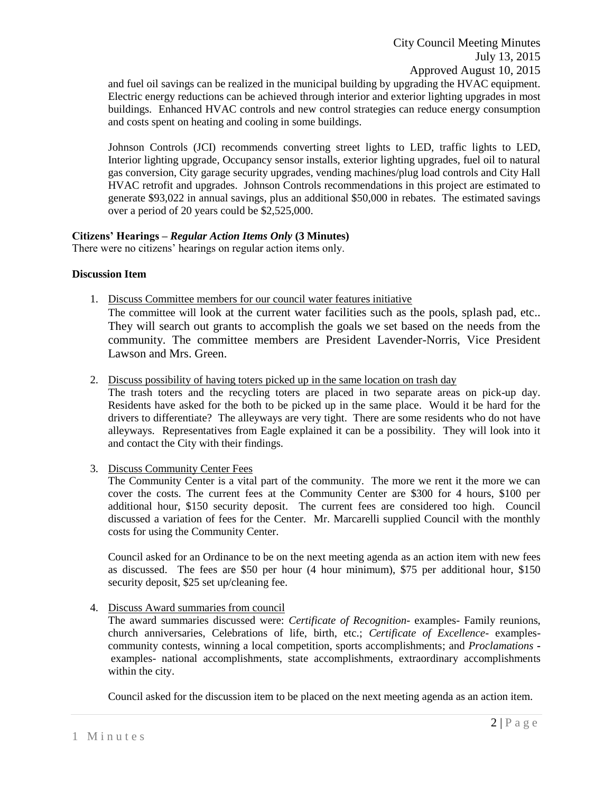and fuel oil savings can be realized in the municipal building by upgrading the HVAC equipment. Electric energy reductions can be achieved through interior and exterior lighting upgrades in most buildings. Enhanced HVAC controls and new control strategies can reduce energy consumption and costs spent on heating and cooling in some buildings.

Johnson Controls (JCI) recommends converting street lights to LED, traffic lights to LED, Interior lighting upgrade, Occupancy sensor installs, exterior lighting upgrades, fuel oil to natural gas conversion, City garage security upgrades, vending machines/plug load controls and City Hall HVAC retrofit and upgrades. Johnson Controls recommendations in this project are estimated to generate \$93,022 in annual savings, plus an additional \$50,000 in rebates. The estimated savings over a period of 20 years could be \$2,525,000.

### **Citizens' Hearings –** *Regular Action Items Only* **(3 Minutes)**

There were no citizens' hearings on regular action items only.

### **Discussion Item**

1. Discuss Committee members for our council water features initiative

The committee will look at the current water facilities such as the pools, splash pad, etc.. They will search out grants to accomplish the goals we set based on the needs from the community. The committee members are President Lavender-Norris, Vice President Lawson and Mrs. Green.

2. Discuss possibility of having toters picked up in the same location on trash day

The trash toters and the recycling toters are placed in two separate areas on pick-up day. Residents have asked for the both to be picked up in the same place. Would it be hard for the drivers to differentiate? The alleyways are very tight. There are some residents who do not have alleyways. Representatives from Eagle explained it can be a possibility. They will look into it and contact the City with their findings.

3. Discuss Community Center Fees

The Community Center is a vital part of the community. The more we rent it the more we can cover the costs. The current fees at the Community Center are \$300 for 4 hours, \$100 per additional hour, \$150 security deposit. The current fees are considered too high. Council discussed a variation of fees for the Center. Mr. Marcarelli supplied Council with the monthly costs for using the Community Center.

Council asked for an Ordinance to be on the next meeting agenda as an action item with new fees as discussed. The fees are \$50 per hour (4 hour minimum), \$75 per additional hour, \$150 security deposit, \$25 set up/cleaning fee.

4. Discuss Award summaries from council

The award summaries discussed were: *Certificate of Recognition*- examples- Family reunions, church anniversaries, Celebrations of life, birth, etc.; *Certificate of Excellence*- examplescommunity contests, winning a local competition, sports accomplishments; and *Proclamations*  examples- national accomplishments, state accomplishments, extraordinary accomplishments within the city.

Council asked for the discussion item to be placed on the next meeting agenda as an action item.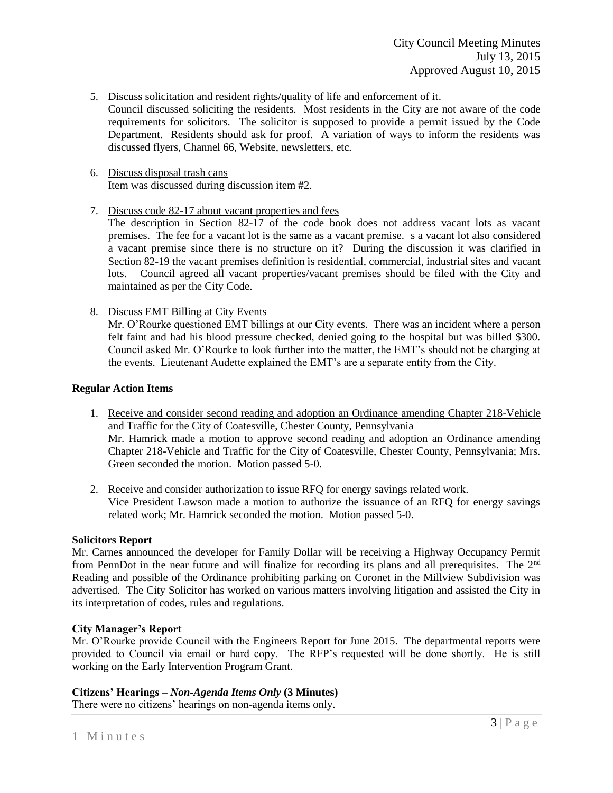- 5. Discuss solicitation and resident rights/quality of life and enforcement of it.
- Council discussed soliciting the residents. Most residents in the City are not aware of the code requirements for solicitors. The solicitor is supposed to provide a permit issued by the Code Department. Residents should ask for proof. A variation of ways to inform the residents was discussed flyers, Channel 66, Website, newsletters, etc.
- 6. Discuss disposal trash cans Item was discussed during discussion item #2.
- 7. Discuss code 82-17 about vacant properties and fees

The description in Section 82-17 of the code book does not address vacant lots as vacant premises. The fee for a vacant lot is the same as a vacant premise. s a vacant lot also considered a vacant premise since there is no structure on it? During the discussion it was clarified in Section 82-19 the vacant premises definition is residential, commercial, industrial sites and vacant lots. Council agreed all vacant properties/vacant premises should be filed with the City and maintained as per the City Code.

8. Discuss EMT Billing at City Events

Mr. O'Rourke questioned EMT billings at our City events. There was an incident where a person felt faint and had his blood pressure checked, denied going to the hospital but was billed \$300. Council asked Mr. O'Rourke to look further into the matter, the EMT's should not be charging at the events. Lieutenant Audette explained the EMT's are a separate entity from the City.

## **Regular Action Items**

- 1. Receive and consider second reading and adoption an Ordinance amending Chapter 218-Vehicle and Traffic for the City of Coatesville, Chester County, Pennsylvania Mr. Hamrick made a motion to approve second reading and adoption an Ordinance amending Chapter 218-Vehicle and Traffic for the City of Coatesville, Chester County, Pennsylvania; Mrs. Green seconded the motion. Motion passed 5-0.
- 2. Receive and consider authorization to issue RFQ for energy savings related work. Vice President Lawson made a motion to authorize the issuance of an RFQ for energy savings related work; Mr. Hamrick seconded the motion. Motion passed 5-0.

### **Solicitors Report**

Mr. Carnes announced the developer for Family Dollar will be receiving a Highway Occupancy Permit from PennDot in the near future and will finalize for recording its plans and all prerequisites. The 2nd Reading and possible of the Ordinance prohibiting parking on Coronet in the Millview Subdivision was advertised. The City Solicitor has worked on various matters involving litigation and assisted the City in its interpretation of codes, rules and regulations.

# **City Manager's Report**

Mr. O'Rourke provide Council with the Engineers Report for June 2015. The departmental reports were provided to Council via email or hard copy. The RFP's requested will be done shortly. He is still working on the Early Intervention Program Grant.

# **Citizens' Hearings –** *Non-Agenda Items Only* **(3 Minutes)**

There were no citizens' hearings on non-agenda items only.